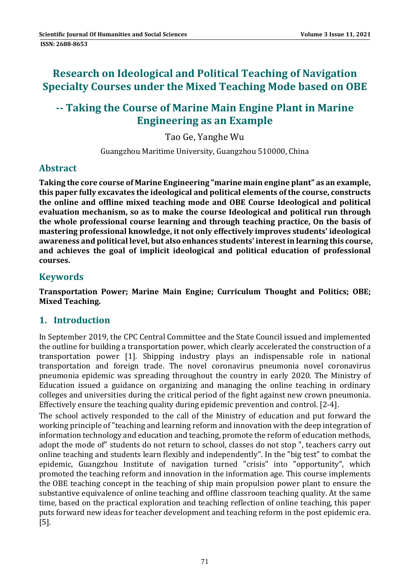# **Research on Ideological and Political Teaching of Navigation Specialty Courses under the Mixed Teaching Mode based on OBE**

## **‐‐ Taking the Course of Marine Main Engine Plant in Marine Engineering as an Example**

Tao Ge, Yanghe Wu

Guangzhou Maritime University, Guangzhou 510000, China

### **Abstract**

**Taking the core course of Marine Engineering "marine main engine plant" as an example, this paper fully excavates the ideological and political elements of the course, constructs the online and offline mixed teaching mode and OBE Course Ideological and political evaluation mechanism, so as to make the course Ideological and political run through the whole professional course learning and through teaching practice, On the basis of mastering professional knowledge, it not only effectively improves students' ideological awareness and political level, but also enhances students' interestin learning this course, and achieves the goal of implicit ideological and political education of professional courses.**

#### **Keywords**

**Transportation Power; Marine Main Engine; Curriculum Thought and Politics; OBE; Mixed Teaching.**

### **1. Introduction**

In September 2019, the CPC Central Committee and the State Council issued and implemented the outline for building a transportation power, which clearly accelerated the construction of a transportation power [1]. Shipping industry plays an indispensable role in national transportation and foreign trade. The novel coronavirus pneumonia novel coronavirus pneumonia epidemic was spreading throughout the country in early 2020. The Ministry of Education issued a guidance on organizing and managing the online teaching in ordinary colleges and universities during the critical period of the fight against new crown pneumonia. Effectively ensure the teaching quality during epidemic prevention and control.  $[2-4]$ .

The school actively responded to the call of the Ministry of education and put forward the working principle of "teaching and learning reform and innovation with the deep integration of information technology and education and teaching, promote the reform of education methods, adopt the mode of" students do not return to school, classes do not stop ", teachers carry out online teaching and students learn flexibly and independently". In the "big test" to combat the epidemic, Guangzhou Institute of navigation turned "crisis" into "opportunity", which promoted the teaching reform and innovation in the information age. This course implements the OBE teaching concept in the teaching of ship main propulsion power plant to ensure the substantive equivalence of online teaching and offline classroom teaching quality. At the same time, based on the practical exploration and teaching reflection of online teaching, this paper puts forward new ideas for teacher development and teaching reform in the post epidemic era. [5].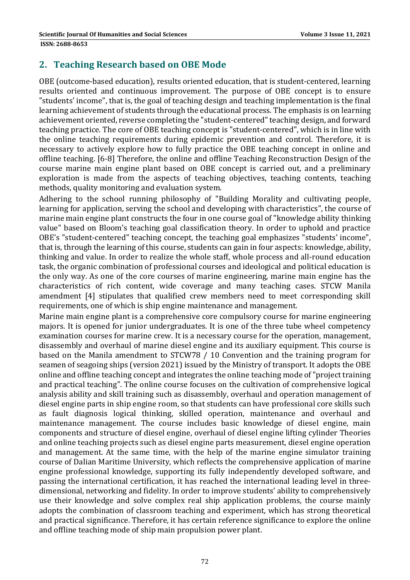### **2. Teaching Research based on OBE Mode**

OBE (outcome-based education), results oriented education, that is student-centered, learning results oriented and continuous improvement. The purpose of OBE concept is to ensure "students' income", that is, the goal of teaching design and teaching implementation is the final learning achievement of students through the educational process. The emphasis is on learning achievement oriented, reverse completing the "student-centered" teaching design, and forward teaching practice. The core of OBE teaching concept is "student-centered", which is in line with the online teaching requirements during epidemic prevention and control. Therefore, it is necessary to actively explore how to fully practice the OBE teaching concept in online and offline teaching. [6-8] Therefore, the online and offline Teaching Reconstruction Design of the course marine main engine plant based on OBE concept is carried out, and a preliminary exploration is made from the aspects of teaching objectives, teaching contents, teaching methods, quality monitoring and evaluation system.

Adhering to the school running philosophy of "Building Morality and cultivating people, learning for application, serving the school and developing with characteristics", the course of marine main engine plant constructs the four in one course goal of "knowledge ability thinking" value" based on Bloom's teaching goal classification theory. In order to uphold and practice OBE's "student-centered" teaching concept, the teaching goal emphasizes "students' income", that is, through the learning of this course, students can gain in four aspects: knowledge, ability, thinking and value. In order to realize the whole staff, whole process and all-round education task, the organic combination of professional courses and ideological and political education is the only way. As one of the core courses of marine engineering, marine main engine has the characteristics of rich content, wide coverage and many teaching cases. STCW Manila amendment [4] stipulates that qualified crew members need to meet corresponding skill requirements, one of which is ship engine maintenance and management.

Marine main engine plant is a comprehensive core compulsory course for marine engineering majors. It is opened for junior undergraduates. It is one of the three tube wheel competency examination courses for marine crew. It is a necessary course for the operation, management, disassembly and overhaul of marine diesel engine and its auxiliary equipment. This course is based on the Manila amendment to STCW78 / 10 Convention and the training program for seamen of seagoing ships (version 2021) issued by the Ministry of transport. It adopts the OBE online and offline teaching concept and integrates the online teaching mode of "project training and practical teaching". The online course focuses on the cultivation of comprehensive logical analysis ability and skill training such as disassembly, overhaul and operation management of diesel engine parts in ship engine room, so that students can have professional core skills such as fault diagnosis logical thinking, skilled operation, maintenance and overhaul and maintenance management. The course includes basic knowledge of diesel engine, main components and structure of diesel engine, overhaul of diesel engine lifting cylinder Theories and online teaching projects such as diesel engine parts measurement, diesel engine operation and management. At the same time, with the help of the marine engine simulator training course of Dalian Maritime University, which reflects the comprehensive application of marine engine professional knowledge, supporting its fully independently developed software, and passing the international certification, it has reached the international leading level in threedimensional, networking and fidelity. In order to improve students' ability to comprehensively use their knowledge and solve complex real ship application problems, the course mainly adopts the combination of classroom teaching and experiment, which has strong theoretical and practical significance. Therefore, it has certain reference significance to explore the online and offline teaching mode of ship main propulsion power plant.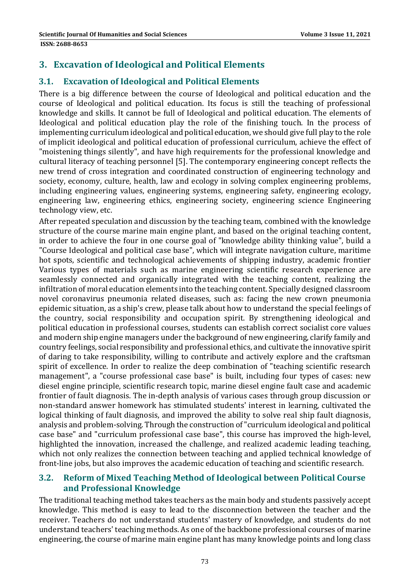### **3. Excavation of Ideological and Political Elements**

### **3.1. Excavation of Ideological and Political Elements**

There is a big difference between the course of Ideological and political education and the course of Ideological and political education. Its focus is still the teaching of professional knowledge and skills. It cannot be full of Ideological and political education. The elements of Ideological and political education play the role of the finishing touch. In the process of implementing curriculum ideological and political education, we should give full play to the role of implicit ideological and political education of professional curriculum, achieve the effect of "moistening things silently", and have high requirements for the professional knowledge and cultural literacy of teaching personnel [5]. The contemporary engineering concept reflects the new trend of cross integration and coordinated construction of engineering technology and society, economy, culture, health, law and ecology in solving complex engineering problems, including engineering values, engineering systems, engineering safety, engineering ecology, engineering law, engineering ethics, engineering society, engineering science Engineering technology view, etc.

After repeated speculation and discussion by the teaching team, combined with the knowledge structure of the course marine main engine plant, and based on the original teaching content, in order to achieve the four in one course goal of "knowledge ability thinking value", build a "Course Ideological and political case base", which will integrate navigation culture, maritime hot spots, scientific and technological achievements of shipping industry, academic frontier Various types of materials such as marine engineering scientific research experience are seamlessly connected and organically integrated with the teaching content, realizing the infiltration of moral education elements into the teaching content. Specially designed classroom novel coronavirus pneumonia related diseases, such as: facing the new crown pneumonia epidemic situation, as a ship's crew, please talk about how to understand the special feelings of the country, social responsibility and occupation spirit. By strengthening ideological and political education in professional courses, students can establish correct socialist core values and modern ship engine managers under the background of new engineering, clarify family and country feelings, social responsibility and professional ethics, and cultivate the innovative spirit of daring to take responsibility, willing to contribute and actively explore and the craftsman spirit of excellence. In order to realize the deep combination of "teaching scientific research management", a "course professional case base" is built, including four types of cases: new diesel engine principle, scientific research topic, marine diesel engine fault case and academic frontier of fault diagnosis. The in-depth analysis of various cases through group discussion or non-standard answer homework has stimulated students' interest in learning, cultivated the logical thinking of fault diagnosis, and improved the ability to solve real ship fault diagnosis, analysis and problem-solving. Through the construction of "curriculum ideological and political case base" and "curriculum professional case base", this course has improved the high-level, highlighted the innovation, increased the challenge, and realized academic leading teaching, which not only realizes the connection between teaching and applied technical knowledge of front-line jobs, but also improves the academic education of teaching and scientific research.

#### **3.2. Reform of Mixed Teaching Method of Ideological between Political Course and Professional Knowledge**

The traditional teaching method takes teachers as the main body and students passively accept knowledge. This method is easy to lead to the disconnection between the teacher and the receiver. Teachers do not understand students' mastery of knowledge, and students do not understand teachers' teaching methods. As one of the backbone professional courses of marine engineering, the course of marine main engine plant has many knowledge points and long class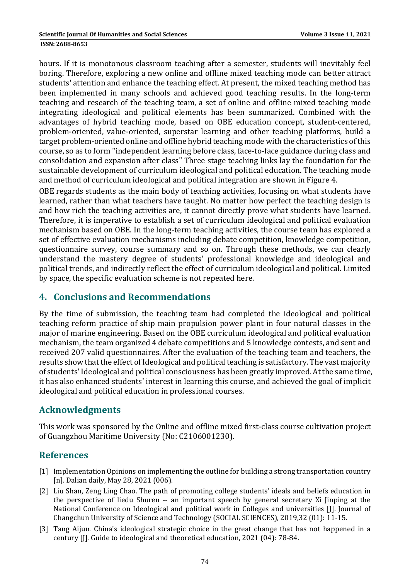hours. If it is monotonous classroom teaching after a semester, students will inevitably feel boring. Therefore, exploring a new online and offline mixed teaching mode can better attract students' attention and enhance the teaching effect. At present, the mixed teaching method has been implemented in many schools and achieved good teaching results. In the long-term teaching and research of the teaching team, a set of online and offline mixed teaching mode integrating ideological and political elements has been summarized. Combined with the advantages of hybrid teaching mode, based on OBE education concept, student-centered, problem-oriented, value-oriented, superstar learning and other teaching platforms, build a target problem-oriented online and offline hybrid teaching mode with the characteristics of this course, so as to form "independent learning before class, face-to-face guidance during class and consolidation and expansion after class" Three stage teaching links lay the foundation for the sustainable development of curriculum ideological and political education. The teaching mode and method of curriculum ideological and political integration are shown in Figure 4.

OBE regards students as the main body of teaching activities, focusing on what students have learned, rather than what teachers have taught. No matter how perfect the teaching design is and how rich the teaching activities are, it cannot directly prove what students have learned. Therefore, it is imperative to establish a set of curriculum ideological and political evaluation mechanism based on OBE. In the long-term teaching activities, the course team has explored a set of effective evaluation mechanisms including debate competition, knowledge competition, questionnaire survey, course summary and so on. Through these methods, we can clearly understand the mastery degree of students' professional knowledge and ideological and political trends, and indirectly reflect the effect of curriculum ideological and political. Limited by space, the specific evaluation scheme is not repeated here.

### **4. Conclusions and Recommendations**

By the time of submission, the teaching team had completed the ideological and political teaching reform practice of ship main propulsion power plant in four natural classes in the major of marine engineering. Based on the OBE curriculum ideological and political evaluation mechanism, the team organized 4 debate competitions and 5 knowledge contests, and sent and received 207 valid questionnaires. After the evaluation of the teaching team and teachers, the results show that the effect of Ideological and political teaching is satisfactory. The vast majority of students' Ideological and political consciousness has been greatly improved. At the same time, it has also enhanced students' interest in learning this course, and achieved the goal of implicit ideological and political education in professional courses.

### **Acknowledgments**

This work was sponsored by the Online and offline mixed first-class course cultivation project of Guangzhou Maritime University (No: C2106001230).

### **References**

- [1] Implementation Opinions on implementing the outline for building a strong transportation country [n]. Dalian daily, May 28, 2021 (006).
- [2] Liu Shan, Zeng Ling Chao. The path of promoting college students' ideals and beliefs education in the perspective of liedu Shuren -- an important speech by general secretary Xi Jinping at the National Conference on Ideological and political work in Colleges and universities [J]. Journal of Changchun University of Science and Technology (SOCIAL SCIENCES), 2019,32 (01): 11-15.
- [3] Tang Aijun. China's ideological strategic choice in the great change that has not happened in a century [J]. Guide to ideological and theoretical education, 2021 (04): 78-84.